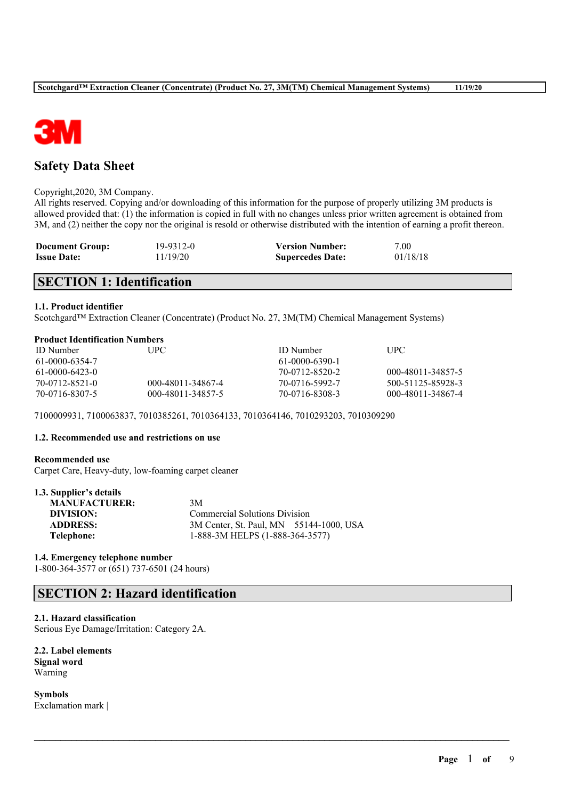

## **Safety Data Sheet**

#### Copyright,2020, 3M Company.

All rights reserved. Copying and/or downloading of this information for the purpose of properly utilizing 3M products is allowed provided that: (1) the information is copied in full with no changes unless prior written agreement is obtained from 3M, and (2) neither the copy nor the original is resold or otherwise distributed with the intention of earning a profit thereon.

| <b>Document Group:</b> | 19-9312-0 | <b>Version Number:</b>  | 7.00     |
|------------------------|-----------|-------------------------|----------|
| <b>Issue Date:</b>     | 11/19/20  | <b>Supercedes Date:</b> | 01/18/18 |

## **SECTION 1: Identification**

### **1.1. Product identifier**

Scotchgard™ Extraction Cleaner (Concentrate) (Product No. 27, 3M(TM) Chemical Management Systems)

#### **Product Identification Numbers**

| <b>ID</b> Number | UPC.              | <b>ID</b> Number | UPC               |
|------------------|-------------------|------------------|-------------------|
| 61-0000-6354-7   |                   | 61-0000-6390-1   |                   |
| $61-0000-6423-0$ |                   | 70-0712-8520-2   | 000-48011-34857-5 |
| 70-0712-8521-0   | 000-48011-34867-4 | 70-0716-5992-7   | 500-51125-85928-3 |
| 70-0716-8307-5   | 000-48011-34857-5 | 70-0716-8308-3   | 000-48011-34867-4 |

 $\mathcal{L}_\mathcal{L} = \mathcal{L}_\mathcal{L} = \mathcal{L}_\mathcal{L} = \mathcal{L}_\mathcal{L} = \mathcal{L}_\mathcal{L} = \mathcal{L}_\mathcal{L} = \mathcal{L}_\mathcal{L} = \mathcal{L}_\mathcal{L} = \mathcal{L}_\mathcal{L} = \mathcal{L}_\mathcal{L} = \mathcal{L}_\mathcal{L} = \mathcal{L}_\mathcal{L} = \mathcal{L}_\mathcal{L} = \mathcal{L}_\mathcal{L} = \mathcal{L}_\mathcal{L} = \mathcal{L}_\mathcal{L} = \mathcal{L}_\mathcal{L}$ 

7100009931, 7100063837, 7010385261, 7010364133, 7010364146, 7010293203, 7010309290

## **1.2. Recommended use and restrictions on use**

#### **Recommended use**

**1.3. Supplier's details**

Carpet Care, Heavy-duty, low-foaming carpet cleaner

| L.3. Supplier's details |                                         |  |
|-------------------------|-----------------------------------------|--|
| <b>MANUFACTURER:</b>    | 3M                                      |  |
| DIVISION:               | <b>Commercial Solutions Division</b>    |  |
| <b>ADDRESS:</b>         | 3M Center, St. Paul, MN 55144-1000, USA |  |
| Telephone:              | 1-888-3M HELPS (1-888-364-3577)         |  |
|                         |                                         |  |

## **1.4. Emergency telephone number**

1-800-364-3577 or (651) 737-6501 (24 hours)

## **SECTION 2: Hazard identification**

#### **2.1. Hazard classification**

Serious Eye Damage/Irritation: Category 2A.

**2.2. Label elements Signal word** Warning

**Symbols** Exclamation mark |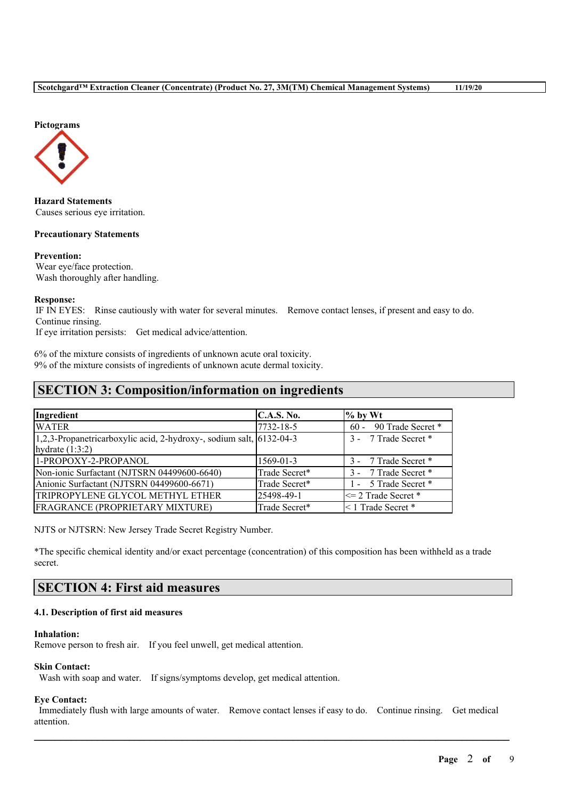

**Hazard Statements** Causes serious eye irritation.

### **Precautionary Statements**

**Prevention:** Wear eye/face protection. Wash thoroughly after handling.

#### **Response:**

IF IN EYES: Rinse cautiously with water for several minutes. Remove contact lenses, if present and easy to do. Continue rinsing.

If eye irritation persists: Get medical advice/attention.

6% of the mixture consists of ingredients of unknown acute oral toxicity. 9% of the mixture consists of ingredients of unknown acute dermal toxicity.

## **SECTION 3: Composition/information on ingredients**

| Ingredient                                                          | C.A.S. No.    | $%$ by Wt               |
|---------------------------------------------------------------------|---------------|-------------------------|
| <b>WATER</b>                                                        | 7732-18-5     | 60 - 90 Trade Secret *  |
| 1,2,3-Propanetricarboxylic acid, 2-hydroxy-, sodium salt, 6132-04-3 |               | 3 - 7 Trade Secret *    |
| hydrate $(1:3:2)$                                                   |               |                         |
| 1-PROPOXY-2-PROPANOL                                                | 1569-01-3     | 3 - 7 Trade Secret *    |
| Non-ionic Surfactant (NJTSRN 04499600-6640)                         | Trade Secret* | 3 - 7 Trade Secret *    |
| Anionic Surfactant (NJTSRN 04499600-6671)                           | Trade Secret* | 1 - 5 Trade Secret *    |
| TRIPROPYLENE GLYCOL METHYL ETHER                                    | 25498-49-1    | $\leq$ 2 Trade Secret * |
| FRAGRANCE (PROPRIETARY MIXTURE)                                     | Trade Secret* | $\leq$ 1 Trade Secret * |

NJTS or NJTSRN: New Jersey Trade Secret Registry Number.

\*The specific chemical identity and/or exact percentage (concentration) of this composition has been withheld as a trade secret.

## **SECTION 4: First aid measures**

### **4.1. Description of first aid measures**

### **Inhalation:**

Remove person to fresh air. If you feel unwell, get medical attention.

### **Skin Contact:**

Wash with soap and water. If signs/symptoms develop, get medical attention.

#### **Eye Contact:**

Immediately flush with large amounts of water. Remove contact lenses if easy to do. Continue rinsing. Get medical attention.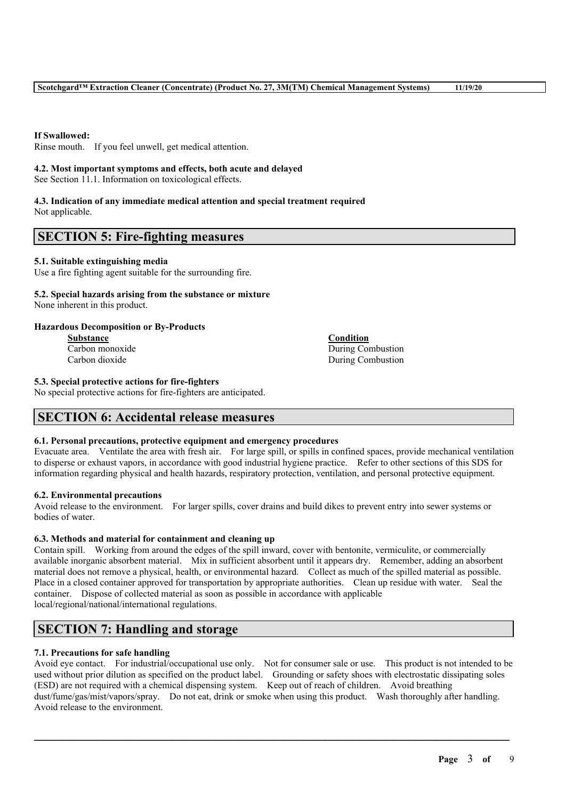**If Swallowed:**

Rinse mouth. If you feel unwell, get medical attention.

## **4.2. Most important symptoms and effects, both acute and delayed**

See Section 11.1. Information on toxicological effects.

# **4.3. Indication of any immediate medical attention and special treatment required**

Not applicable.

## **SECTION 5: Fire-fighting measures**

## **5.1. Suitable extinguishing media**

Use a fire fighting agent suitable for the surrounding fire.

#### **5.2. Special hazards arising from the substance or mixture** None inherent in this product.

## **Hazardous Decomposition or By-Products**

**Substance Condition**

Carbon monoxide During Combustion Carbon dioxide During Combustion

## **5.3. Special protective actions for fire-fighters**

No special protective actions for fire-fighters are anticipated.

## **SECTION 6: Accidental release measures**

## **6.1. Personal precautions, protective equipment and emergency procedures**

Evacuate area. Ventilate the area with fresh air. For large spill, or spills in confined spaces, provide mechanical ventilation to disperse or exhaust vapors, in accordance with good industrial hygiene practice. Refer to other sections of this SDS for information regarding physical and health hazards, respiratory protection, ventilation, and personal protective equipment.

## **6.2. Environmental precautions**

Avoid release to the environment. For larger spills, cover drains and build dikes to prevent entry into sewer systems or bodies of water.

## **6.3. Methods and material for containment and cleaning up**

Contain spill. Working from around the edges of the spill inward, cover with bentonite, vermiculite, or commercially available inorganic absorbent material. Mix in sufficient absorbent until it appears dry. Remember, adding an absorbent material does not remove a physical, health, or environmental hazard. Collect as much of the spilled material as possible. Place in a closed container approved for transportation by appropriate authorities. Clean up residue with water. Seal the container. Dispose of collected material as soon as possible in accordance with applicable local/regional/national/international regulations.

## **SECTION 7: Handling and storage**

## **7.1. Precautions for safe handling**

Avoid eye contact. For industrial/occupational use only. Not for consumer sale or use. This product is not intended to be used without prior dilution as specified on the product label. Grounding or safety shoes with electrostatic dissipating soles (ESD) are not required with a chemical dispensing system. Keep out of reach of children. Avoid breathing dust/fume/gas/mist/vapors/spray. Do not eat, drink or smoke when using this product. Wash thoroughly after handling. Avoid release to the environment.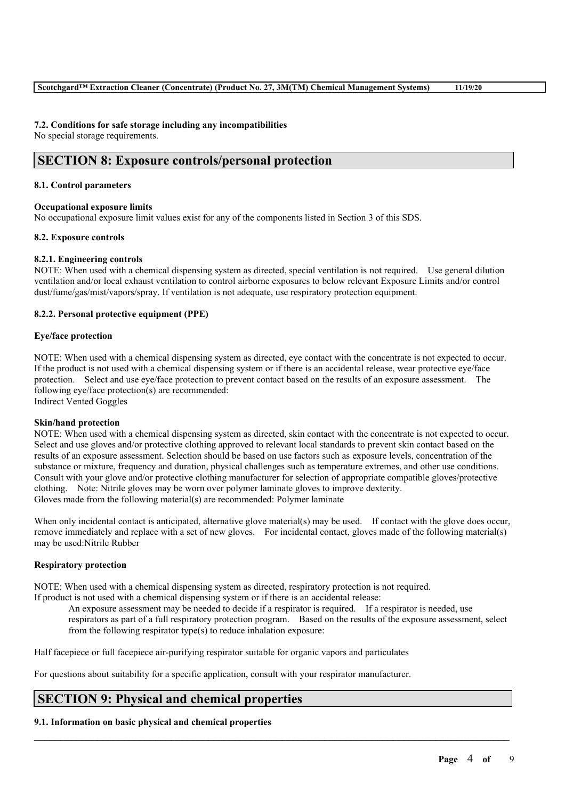#### **7.2. Conditions for safe storage including any incompatibilities**

No special storage requirements.

## **SECTION 8: Exposure controls/personal protection**

#### **8.1. Control parameters**

### **Occupational exposure limits**

No occupational exposure limit values exist for any of the components listed in Section 3 of this SDS.

#### **8.2. Exposure controls**

### **8.2.1. Engineering controls**

NOTE: When used with a chemical dispensing system as directed, special ventilation is not required. Use general dilution ventilation and/or local exhaust ventilation to control airborne exposures to below relevant Exposure Limits and/or control dust/fume/gas/mist/vapors/spray. If ventilation is not adequate, use respiratory protection equipment.

#### **8.2.2. Personal protective equipment (PPE)**

#### **Eye/face protection**

NOTE: When used with a chemical dispensing system as directed, eye contact with the concentrate is not expected to occur. If the product is not used with a chemical dispensing system or if there is an accidental release, wear protective eye/face protection. Select and use eye/face protection to prevent contact based on the results of an exposure assessment. The following eye/face protection(s) are recommended:

Indirect Vented Goggles

#### **Skin/hand protection**

NOTE: When used with a chemical dispensing system as directed, skin contact with the concentrate is not expected to occur. Select and use gloves and/or protective clothing approved to relevant local standards to prevent skin contact based on the results of an exposure assessment. Selection should be based on use factors such as exposure levels, concentration of the substance or mixture, frequency and duration, physical challenges such as temperature extremes, and other use conditions. Consult with your glove and/or protective clothing manufacturer for selection of appropriate compatible gloves/protective clothing. Note: Nitrile gloves may be worn over polymer laminate gloves to improve dexterity. Gloves made from the following material(s) are recommended: Polymer laminate

When only incidental contact is anticipated, alternative glove material(s) may be used. If contact with the glove does occur, remove immediately and replace with a set of new gloves. For incidental contact, gloves made of the following material(s) may be used:Nitrile Rubber

## **Respiratory protection**

NOTE: When used with a chemical dispensing system as directed, respiratory protection is not required. If product is not used with a chemical dispensing system or if there is an accidental release:

An exposure assessment may be needed to decide if a respirator is required. If a respirator is needed, use respirators as part of a full respiratory protection program. Based on the results of the exposure assessment, select from the following respirator type(s) to reduce inhalation exposure:

 $\mathcal{L}_\mathcal{L} = \mathcal{L}_\mathcal{L} = \mathcal{L}_\mathcal{L} = \mathcal{L}_\mathcal{L} = \mathcal{L}_\mathcal{L} = \mathcal{L}_\mathcal{L} = \mathcal{L}_\mathcal{L} = \mathcal{L}_\mathcal{L} = \mathcal{L}_\mathcal{L} = \mathcal{L}_\mathcal{L} = \mathcal{L}_\mathcal{L} = \mathcal{L}_\mathcal{L} = \mathcal{L}_\mathcal{L} = \mathcal{L}_\mathcal{L} = \mathcal{L}_\mathcal{L} = \mathcal{L}_\mathcal{L} = \mathcal{L}_\mathcal{L}$ 

Half facepiece or full facepiece air-purifying respirator suitable for organic vapors and particulates

For questions about suitability for a specific application, consult with your respirator manufacturer.

## **SECTION 9: Physical and chemical properties**

## **9.1. Information on basic physical and chemical properties**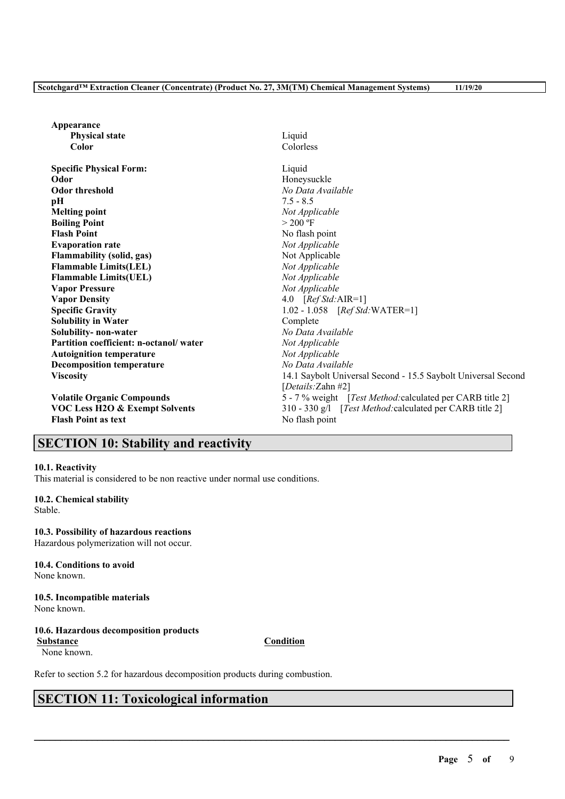| Appearance                                |                                                               |
|-------------------------------------------|---------------------------------------------------------------|
| <b>Physical state</b>                     | Liquid                                                        |
| Color                                     | Colorless                                                     |
| <b>Specific Physical Form:</b>            | Liquid                                                        |
| Odor                                      | Honeysuckle                                                   |
| <b>Odor threshold</b>                     | No Data Available                                             |
| рH                                        | $7.5 - 8.5$                                                   |
| <b>Melting point</b>                      | Not Applicable                                                |
| <b>Boiling Point</b>                      | $> 200$ °F                                                    |
| <b>Flash Point</b>                        | No flash point                                                |
| <b>Evaporation rate</b>                   | Not Applicable                                                |
| Flammability (solid, gas)                 | Not Applicable                                                |
| <b>Flammable Limits(LEL)</b>              | Not Applicable                                                |
| <b>Flammable Limits(UEL)</b>              | Not Applicable                                                |
| <b>Vapor Pressure</b>                     | Not Applicable                                                |
| <b>Vapor Density</b>                      | 4.0 $[RefStd:AIR=1]$                                          |
| <b>Specific Gravity</b>                   | $1.02 - 1.058$ [ <i>Ref Std:</i> WATER=1]                     |
| <b>Solubility in Water</b>                | Complete                                                      |
| Solubility- non-water                     | No Data Available                                             |
| Partition coefficient: n-octanol/water    | Not Applicable                                                |
| <b>Autoignition temperature</b>           | Not Applicable                                                |
| <b>Decomposition temperature</b>          | No Data Available                                             |
| <b>Viscosity</b>                          | 14.1 Saybolt Universal Second - 15.5 Saybolt Universal Second |
|                                           | [Details: Zahn #2]                                            |
| <b>Volatile Organic Compounds</b>         | 5 - 7 % weight [Test Method: calculated per CARB title 2]     |
| <b>VOC Less H2O &amp; Exempt Solvents</b> | 310 - 330 g/l [Test Method: calculated per CARB title 2]      |
| <b>Flash Point as text</b>                | No flash point                                                |

## **SECTION 10: Stability and reactivity**

### **10.1. Reactivity**

This material is considered to be non reactive under normal use conditions.

**10.2. Chemical stability** Stable.

**10.3. Possibility of hazardous reactions** Hazardous polymerization will not occur.

**10.4. Conditions to avoid** None known.

**10.5. Incompatible materials** None known.

## **10.6. Hazardous decomposition products**

None known.

Refer to section 5.2 for hazardous decomposition products during combustion.

## **SECTION 11: Toxicological information**

**Substance Condition**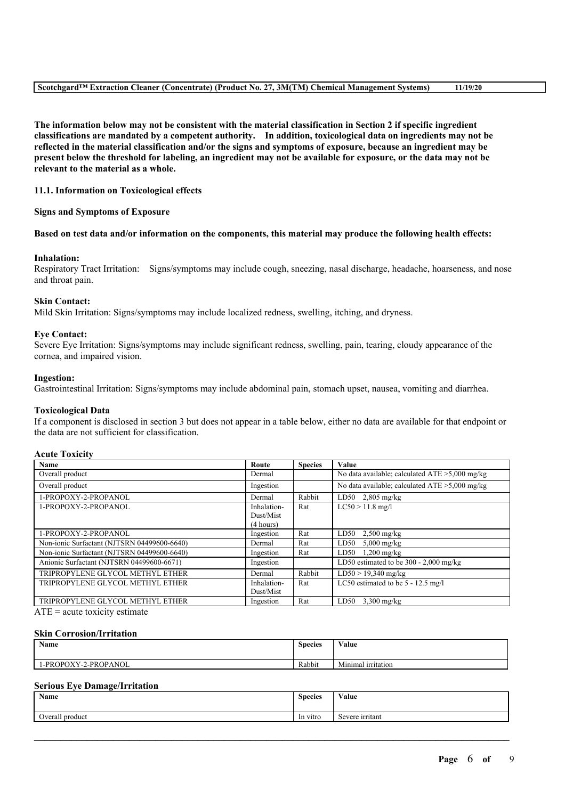The information below may not be consistent with the material classification in Section 2 if specific ingredient **classifications are mandated by a competent authority. In addition, toxicological data on ingredients may not be** reflected in the material classification and/or the signs and symptoms of exposure, because an ingredient may be present below the threshold for labeling, an ingredient may not be available for exposure, or the data may not be **relevant to the material as a whole.**

### **11.1. Information on Toxicological effects**

#### **Signs and Symptoms of Exposure**

#### Based on test data and/or information on the components, this material may produce the following health effects:

#### **Inhalation:**

Respiratory Tract Irritation: Signs/symptoms may include cough, sneezing, nasal discharge, headache, hoarseness, and nose and throat pain.

#### **Skin Contact:**

Mild Skin Irritation: Signs/symptoms may include localized redness, swelling, itching, and dryness.

#### **Eye Contact:**

Severe Eye Irritation: Signs/symptoms may include significant redness, swelling, pain, tearing, cloudy appearance of the cornea, and impaired vision.

#### **Ingestion:**

Gastrointestinal Irritation: Signs/symptoms may include abdominal pain, stomach upset, nausea, vomiting and diarrhea.

#### **Toxicological Data**

If a component is disclosed in section 3 but does not appear in a table below, either no data are available for that endpoint or the data are not sufficient for classification.

#### **Acute Toxicity**

| Name                                        | Route       | <b>Species</b> | Value                                             |
|---------------------------------------------|-------------|----------------|---------------------------------------------------|
| Overall product                             | Dermal      |                | No data available; calculated $ATE > 5,000$ mg/kg |
| Overall product                             | Ingestion   |                | No data available; calculated $ATE > 5,000$ mg/kg |
| 1-PROPOXY-2-PROPANOL                        | Dermal      | Rabbit         | $\overline{\text{LD}}$ 50 2,805 mg/kg             |
| 1-PROPOXY-2-PROPANOL                        | Inhalation- | Rat            | $LC50 > 11.8$ mg/l                                |
|                                             | Dust/Mist   |                |                                                   |
|                                             | (4 hours)   |                |                                                   |
| 1-PROPOXY-2-PROPANOL                        | Ingestion   | Rat            | LD50<br>$2,500$ mg/kg                             |
| Non-ionic Surfactant (NJTSRN 04499600-6640) | Dermal      | Rat            | LD50<br>$5,000$ mg/kg                             |
| Non-ionic Surfactant (NJTSRN 04499600-6640) | Ingestion   | Rat            | $1,200$ mg/kg<br>LD50                             |
| Anionic Surfactant (NJTSRN 04499600-6671)   | Ingestion   |                | LD50 estimated to be $300 - 2,000$ mg/kg          |
| TRIPROPYLENE GLYCOL METHYL ETHER            | Dermal      | Rabbit         | $LD50 > 19,340$ mg/kg                             |
| TRIPROPYLENE GLYCOL METHYL ETHER            | Inhalation- | Rat            | LC50 estimated to be $5 - 12.5$ mg/l              |
|                                             | Dust/Mist   |                |                                                   |
| TRIPROPYLENE GLYCOL METHYL ETHER            | Ingestion   | Rat            | LD50<br>$3,300$ mg/kg                             |
|                                             |             |                |                                                   |

 $ATE = acute$  toxicity estimate

#### **Skin Corrosion/Irritation**

| Name                     | $\sim$<br><b>Species</b> | <b>WY 3</b><br>⁄ alue   |
|--------------------------|--------------------------|-------------------------|
| Y-2-PROPANOL<br>PROPOXY- | Rabbit                   | Minimal<br>. irritation |

### **Serious Eye Damage/Irritation**

| Name            | $\sim$<br><b>Species</b> | <b>T</b><br>/alue     |
|-----------------|--------------------------|-----------------------|
| Overall product | In vitro                 | severe irritant<br>OС |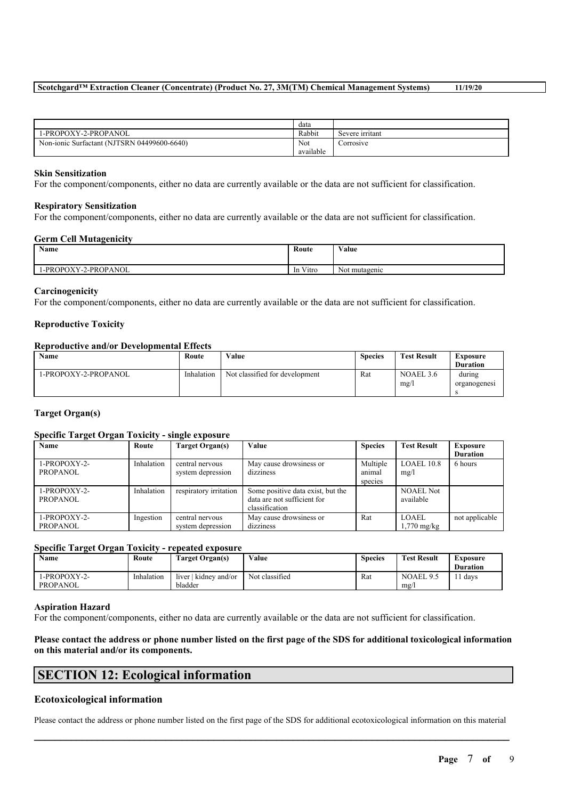## **Scotchgard™ Extraction Cleaner (Concentrate) (Product No. 27, 3M(TM) Chemical Management Systems) 11/19/20**

|                                             | data           |                 |
|---------------------------------------------|----------------|-----------------|
| 1-PROPOXY-2-PROPANOL                        | Rabbit         | Severe irritant |
| Non-ionic Surfactant (NJTSRN 04499600-6640) | Not            | Corrosive       |
|                                             | .<br>available |                 |

#### **Skin Sensitization**

For the component/components, either no data are currently available or the data are not sufficient for classification.

#### **Respiratory Sensitization**

For the component/components, either no data are currently available or the data are not sufficient for classification.

#### **Germ Cell Mutagenicity**

| <b>Name</b>               | Route                                     | Value<br>$\cdots$              |
|---------------------------|-------------------------------------------|--------------------------------|
| Y-2-PROPANOL<br>1-PROPOXY | $\mathbf{v}$<br>V <sub>1</sub> tro<br>-In | $\sim$ $\sim$<br>Not mutagenic |

#### **Carcinogenicity**

For the component/components, either no data are currently available or the data are not sufficient for classification.

#### **Reproductive Toxicity**

#### **Reproductive and/or Developmental Effects**

| <b>Name</b>          | Route      | Value                          | <b>Species</b> | <b>Test Result</b> | Exposure<br><b>Duration</b> |
|----------------------|------------|--------------------------------|----------------|--------------------|-----------------------------|
| 1-PROPOXY-2-PROPANOL | Inhalation | Not classified for development | Rat            | NOAEL 3.6<br>mg/   | during<br>organogenesi      |

### **Target Organ(s)**

### **Specific Target Organ Toxicity - single exposure**

| Name         | Route      | Target Organ(s)        | Value                             | <b>Species</b> | <b>Test Result</b>    | <b>Exposure</b> |
|--------------|------------|------------------------|-----------------------------------|----------------|-----------------------|-----------------|
|              |            |                        |                                   |                |                       | <b>Duration</b> |
| 1-PROPOXY-2- | Inhalation | central nervous        | May cause drowsiness or           | Multiple       | LOAEL 10.8            | 6 hours         |
| PROPANOL     |            | system depression      | dizziness                         | animal         | mg/l                  |                 |
|              |            |                        |                                   | species        |                       |                 |
| 1-PROPOXY-2- | Inhalation | respiratory irritation | Some positive data exist, but the |                | <b>NOAEL Not</b>      |                 |
| PROPANOL     |            |                        | data are not sufficient for       |                | available             |                 |
|              |            |                        | classification                    |                |                       |                 |
| 1-PROPOXY-2- | Ingestion  | central nervous        | May cause drowsiness or           | Rat            | <b>LOAEL</b>          | not applicable  |
| PROPANOL     |            | system depression      | dizziness                         |                | $1,770 \text{ mg/kg}$ |                 |

#### **Specific Target Organ Toxicity - repeated exposure**

| <b>Name</b>                     | Route      | Target Organ(s)                           | Value          | <b>Species</b> | <b>Test Result</b> | Exposure<br><b>Duration</b> |
|---------------------------------|------------|-------------------------------------------|----------------|----------------|--------------------|-----------------------------|
| 1-PROPOXY-2-<br><b>PROPANOL</b> | Inhalation | $\vert$ kidney and/or<br>liver<br>bladder | Not classified | Rat            | NOAEL 9.5<br>mg/   | days                        |

#### **Aspiration Hazard**

For the component/components, either no data are currently available or the data are not sufficient for classification.

## Please contact the address or phone number listed on the first page of the SDS for additional toxicological information **on this material and/or its components.**

## **SECTION 12: Ecological information**

### **Ecotoxicological information**

 $\mathcal{L}_\mathcal{L} = \mathcal{L}_\mathcal{L} = \mathcal{L}_\mathcal{L} = \mathcal{L}_\mathcal{L} = \mathcal{L}_\mathcal{L} = \mathcal{L}_\mathcal{L} = \mathcal{L}_\mathcal{L} = \mathcal{L}_\mathcal{L} = \mathcal{L}_\mathcal{L} = \mathcal{L}_\mathcal{L} = \mathcal{L}_\mathcal{L} = \mathcal{L}_\mathcal{L} = \mathcal{L}_\mathcal{L} = \mathcal{L}_\mathcal{L} = \mathcal{L}_\mathcal{L} = \mathcal{L}_\mathcal{L} = \mathcal{L}_\mathcal{L}$ Please contact the address or phone number listed on the first page of the SDS for additional ecotoxicological information on this material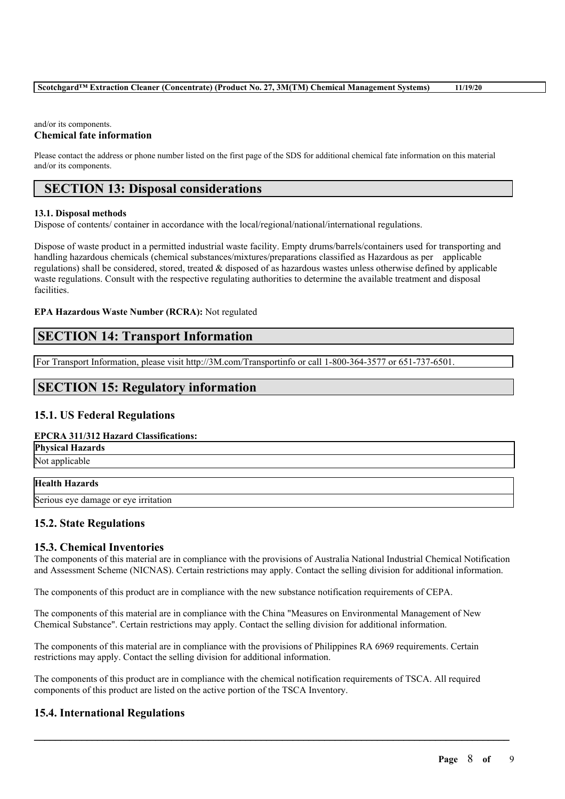## **Scotchgard™ Extraction Cleaner (Concentrate) (Product No. 27, 3M(TM) Chemical Management Systems) 11/19/20**

## and/or its components.

## **Chemical fate information**

Please contact the address or phone number listed on the first page of the SDS for additional chemical fate information on this material and/or its components.

## **SECTION 13: Disposal considerations**

#### **13.1. Disposal methods**

Dispose of contents/ container in accordance with the local/regional/national/international regulations.

Dispose of waste product in a permitted industrial waste facility. Empty drums/barrels/containers used for transporting and handling hazardous chemicals (chemical substances/mixtures/preparations classified as Hazardous as per applicable regulations) shall be considered, stored, treated & disposed of as hazardous wastes unless otherwise defined by applicable waste regulations. Consult with the respective regulating authorities to determine the available treatment and disposal facilities.

### **EPA Hazardous Waste Number (RCRA):** Not regulated

## **SECTION 14: Transport Information**

For Transport Information, please visit http://3M.com/Transportinfo or call 1-800-364-3577 or 651-737-6501.

## **SECTION 15: Regulatory information**

## **15.1. US Federal Regulations**

### **EPCRA 311/312 Hazard Classifications:**

**Physical Hazards** Not applicable

### **Health Hazards**

Serious eye damage or eye irritation

## **15.2. State Regulations**

## **15.3. Chemical Inventories**

The components of this material are in compliance with the provisions of Australia National Industrial Chemical Notification and Assessment Scheme (NICNAS). Certain restrictions may apply. Contact the selling division for additional information.

The components of this product are in compliance with the new substance notification requirements of CEPA.

The components of this material are in compliance with the China "Measures on Environmental Management of New Chemical Substance". Certain restrictions may apply. Contact the selling division for additional information.

The components of this material are in compliance with the provisions of Philippines RA 6969 requirements. Certain restrictions may apply. Contact the selling division for additional information.

The components of this product are in compliance with the chemical notification requirements of TSCA. All required components of this product are listed on the active portion of the TSCA Inventory.

 $\mathcal{L}_\mathcal{L} = \mathcal{L}_\mathcal{L} = \mathcal{L}_\mathcal{L} = \mathcal{L}_\mathcal{L} = \mathcal{L}_\mathcal{L} = \mathcal{L}_\mathcal{L} = \mathcal{L}_\mathcal{L} = \mathcal{L}_\mathcal{L} = \mathcal{L}_\mathcal{L} = \mathcal{L}_\mathcal{L} = \mathcal{L}_\mathcal{L} = \mathcal{L}_\mathcal{L} = \mathcal{L}_\mathcal{L} = \mathcal{L}_\mathcal{L} = \mathcal{L}_\mathcal{L} = \mathcal{L}_\mathcal{L} = \mathcal{L}_\mathcal{L}$ 

## **15.4. International Regulations**